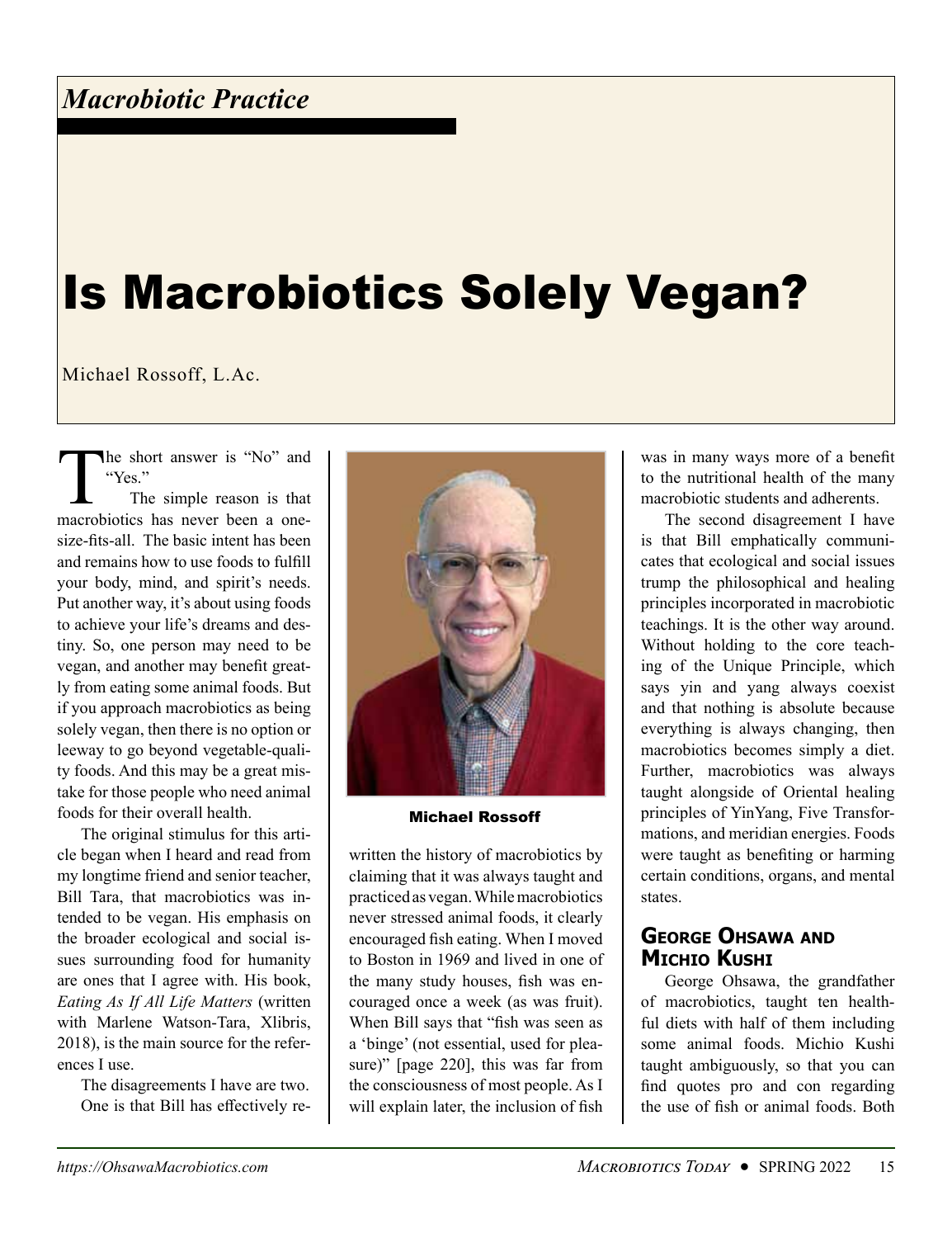# Is Macrobiotics Solely Vegan?

Michael Rossoff, L.Ac.

The short answer is "No" and "Yes."

The simple reason is that macrobiotics has never been a onesize-fits-all. The basic intent has been and remains how to use foods to fulfill your body, mind, and spirit's needs. Put another way, it's about using foods to achieve your life's dreams and destiny. So, one person may need to be vegan, and another may benefit greatly from eating some animal foods. But if you approach macrobiotics as being solely vegan, then there is no option or leeway to go beyond vegetable-quality foods. And this may be a great mistake for those people who need animal foods for their overall health.

The original stimulus for this article began when I heard and read from my longtime friend and senior teacher, Bill Tara, that macrobiotics was intended to be vegan. His emphasis on the broader ecological and social issues surrounding food for humanity are ones that I agree with. His book, *Eating As If All Life Matters* (written with Marlene Watson-Tara, Xlibris, 2018), is the main source for the references I use.

The disagreements I have are two. One is that Bill has effectively re-



Michael Rossoff

written the history of macrobiotics by claiming that it was always taught and practiced as vegan. While macrobiotics never stressed animal foods, it clearly encouraged fish eating. When I moved to Boston in 1969 and lived in one of the many study houses, fish was encouraged once a week (as was fruit). When Bill says that "fish was seen as a 'binge' (not essential, used for pleasure)" [page 220], this was far from the consciousness of most people. As I will explain later, the inclusion of fish

was in many ways more of a benefit to the nutritional health of the many macrobiotic students and adherents.

The second disagreement I have is that Bill emphatically communicates that ecological and social issues trump the philosophical and healing principles incorporated in macrobiotic teachings. It is the other way around. Without holding to the core teaching of the Unique Principle, which says yin and yang always coexist and that nothing is absolute because everything is always changing, then macrobiotics becomes simply a diet. Further, macrobiotics was always taught alongside of Oriental healing principles of YinYang, Five Transformations, and meridian energies. Foods were taught as benefiting or harming certain conditions, organs, and mental states.

# **George Ohsawa and Michio Kushi**

George Ohsawa, the grandfather of macrobiotics, taught ten healthful diets with half of them including some animal foods. Michio Kushi taught ambiguously, so that you can find quotes pro and con regarding the use of fish or animal foods. Both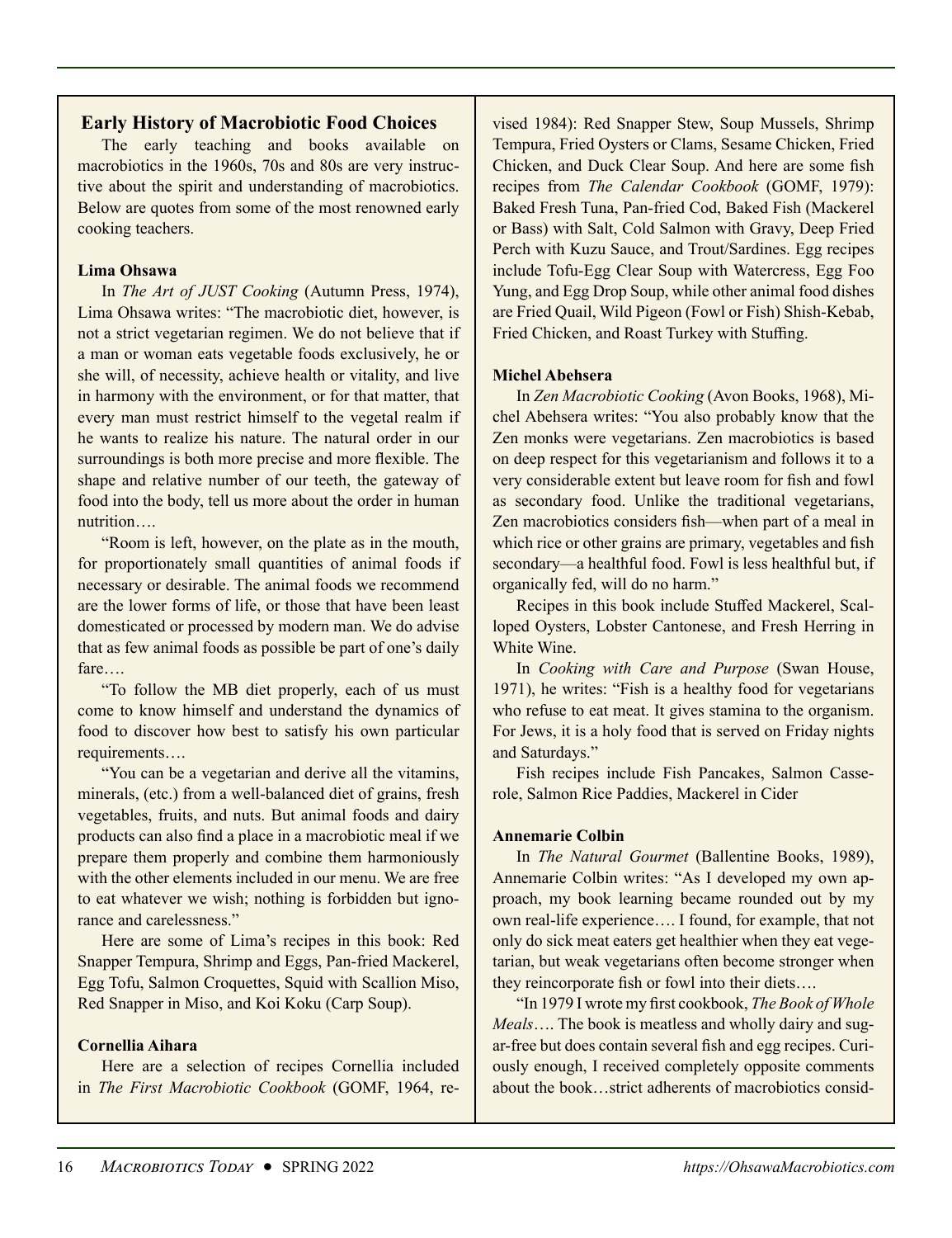# **Early History of Macrobiotic Food Choices**

The early teaching and books available on macrobiotics in the 1960s, 70s and 80s are very instructive about the spirit and understanding of macrobiotics. Below are quotes from some of the most renowned early cooking teachers.

#### **Lima Ohsawa**

In *The Art of JUST Cooking* (Autumn Press, 1974), Lima Ohsawa writes: "The macrobiotic diet, however, is not a strict vegetarian regimen. We do not believe that if a man or woman eats vegetable foods exclusively, he or she will, of necessity, achieve health or vitality, and live in harmony with the environment, or for that matter, that every man must restrict himself to the vegetal realm if he wants to realize his nature. The natural order in our surroundings is both more precise and more flexible. The shape and relative number of our teeth, the gateway of food into the body, tell us more about the order in human nutrition….

"Room is left, however, on the plate as in the mouth, for proportionately small quantities of animal foods if necessary or desirable. The animal foods we recommend are the lower forms of life, or those that have been least domesticated or processed by modern man. We do advise that as few animal foods as possible be part of one's daily fare….

"To follow the MB diet properly, each of us must come to know himself and understand the dynamics of food to discover how best to satisfy his own particular requirements….

"You can be a vegetarian and derive all the vitamins, minerals, (etc.) from a well-balanced diet of grains, fresh vegetables, fruits, and nuts. But animal foods and dairy products can also find a place in a macrobiotic meal if we prepare them properly and combine them harmoniously with the other elements included in our menu. We are free to eat whatever we wish; nothing is forbidden but ignorance and carelessness."

Here are some of Lima's recipes in this book: Red Snapper Tempura, Shrimp and Eggs, Pan-fried Mackerel, Egg Tofu, Salmon Croquettes, Squid with Scallion Miso, Red Snapper in Miso, and Koi Koku (Carp Soup).

#### **Cornellia Aihara**

Here are a selection of recipes Cornellia included in *The First Macrobiotic Cookbook* (GOMF, 1964, re-

vised 1984): Red Snapper Stew, Soup Mussels, Shrimp Tempura, Fried Oysters or Clams, Sesame Chicken, Fried Chicken, and Duck Clear Soup. And here are some fish recipes from *The Calendar Cookbook* (GOMF, 1979): Baked Fresh Tuna, Pan-fried Cod, Baked Fish (Mackerel or Bass) with Salt, Cold Salmon with Gravy, Deep Fried Perch with Kuzu Sauce, and Trout/Sardines. Egg recipes include Tofu-Egg Clear Soup with Watercress, Egg Foo Yung, and Egg Drop Soup, while other animal food dishes are Fried Quail, Wild Pigeon (Fowl or Fish) Shish-Kebab, Fried Chicken, and Roast Turkey with Stuffing.

#### **Michel Abehsera**

In *Zen Macrobiotic Cooking* (Avon Books, 1968), Michel Abehsera writes: "You also probably know that the Zen monks were vegetarians. Zen macrobiotics is based on deep respect for this vegetarianism and follows it to a very considerable extent but leave room for fish and fowl as secondary food. Unlike the traditional vegetarians, Zen macrobiotics considers fish—when part of a meal in which rice or other grains are primary, vegetables and fish secondary—a healthful food. Fowl is less healthful but, if organically fed, will do no harm."

Recipes in this book include Stuffed Mackerel, Scalloped Oysters, Lobster Cantonese, and Fresh Herring in White Wine.

In *Cooking with Care and Purpose* (Swan House, 1971), he writes: "Fish is a healthy food for vegetarians who refuse to eat meat. It gives stamina to the organism. For Jews, it is a holy food that is served on Friday nights and Saturdays."

Fish recipes include Fish Pancakes, Salmon Casserole, Salmon Rice Paddies, Mackerel in Cider

#### **Annemarie Colbin**

In *The Natural Gourmet* (Ballentine Books, 1989), Annemarie Colbin writes: "As I developed my own approach, my book learning became rounded out by my own real-life experience…. I found, for example, that not only do sick meat eaters get healthier when they eat vegetarian, but weak vegetarians often become stronger when they reincorporate fish or fowl into their diets….

"In 1979 I wrote my first cookbook, *The Book of Whole Meals*…. The book is meatless and wholly dairy and sugar-free but does contain several fish and egg recipes. Curiously enough, I received completely opposite comments about the book…strict adherents of macrobiotics consid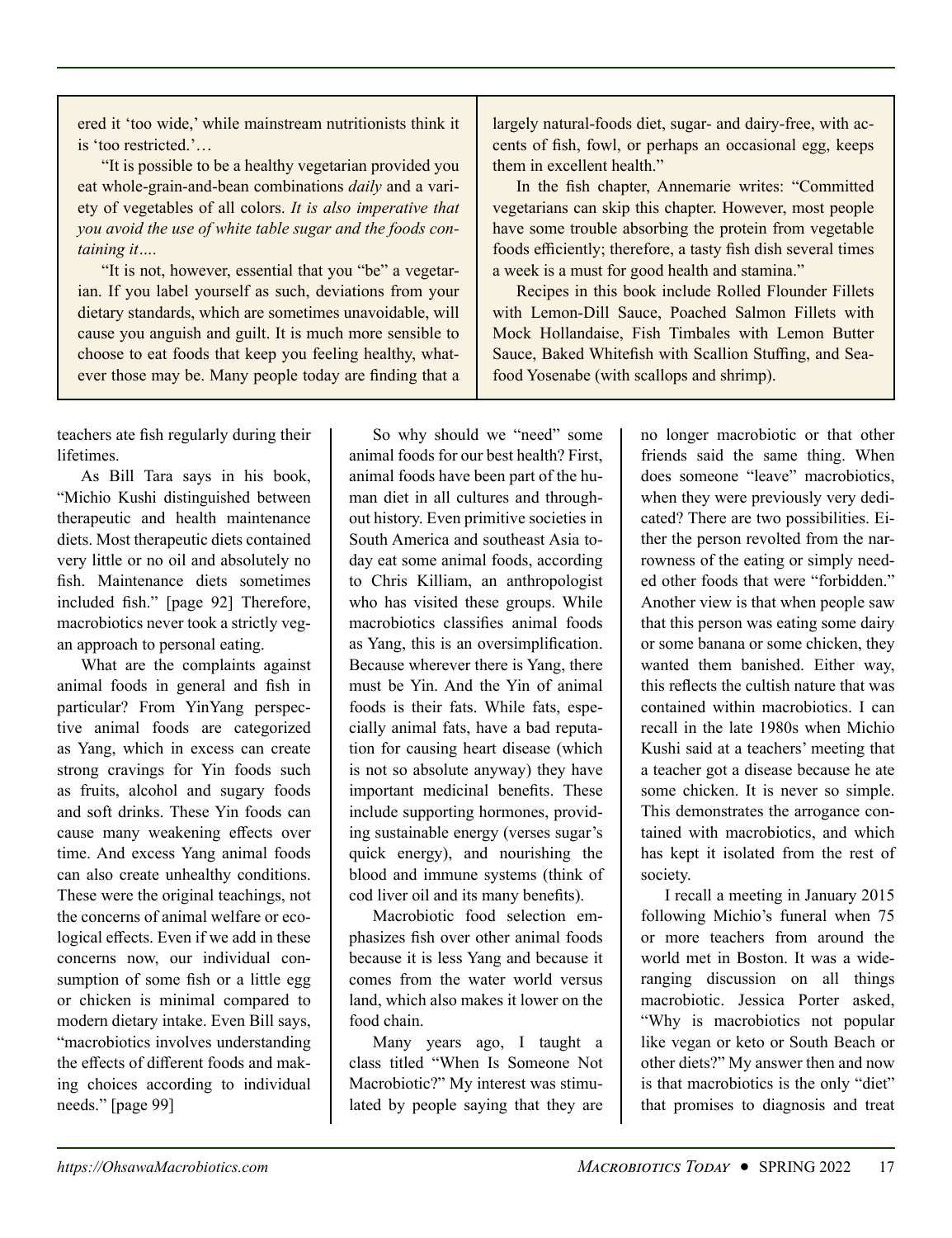ered it 'too wide,' while mainstream nutritionists think it is 'too restricted.'…

"It is possible to be a healthy vegetarian provided you eat whole-grain-and-bean combinations *daily* and a variety of vegetables of all colors. *It is also imperative that you avoid the use of white table sugar and the foods containing it….*

"It is not, however, essential that you "be" a vegetarian. If you label yourself as such, deviations from your dietary standards, which are sometimes unavoidable, will cause you anguish and guilt. It is much more sensible to choose to eat foods that keep you feeling healthy, whatever those may be. Many people today are finding that a

teachers ate fish regularly during their lifetimes.

As Bill Tara says in his book, "Michio Kushi distinguished between therapeutic and health maintenance diets. Most therapeutic diets contained very little or no oil and absolutely no fish. Maintenance diets sometimes included fish." [page 92] Therefore, macrobiotics never took a strictly vegan approach to personal eating.

What are the complaints against animal foods in general and fish in particular? From YinYang perspective animal foods are categorized as Yang, which in excess can create strong cravings for Yin foods such as fruits, alcohol and sugary foods and soft drinks. These Yin foods can cause many weakening effects over time. And excess Yang animal foods can also create unhealthy conditions. These were the original teachings, not the concerns of animal welfare or ecological effects. Even if we add in these concerns now, our individual consumption of some fish or a little egg or chicken is minimal compared to modern dietary intake. Even Bill says, "macrobiotics involves understanding the effects of different foods and making choices according to individual needs." [page 99]

So why should we "need" some animal foods for our best health? First, animal foods have been part of the human diet in all cultures and throughout history. Even primitive societies in South America and southeast Asia today eat some animal foods, according to Chris Killiam, an anthropologist who has visited these groups. While macrobiotics classifies animal foods as Yang, this is an oversimplification. Because wherever there is Yang, there must be Yin. And the Yin of animal foods is their fats. While fats, especially animal fats, have a bad reputation for causing heart disease (which is not so absolute anyway) they have important medicinal benefits. These include supporting hormones, providing sustainable energy (verses sugar's quick energy), and nourishing the blood and immune systems (think of cod liver oil and its many benefits).

Macrobiotic food selection emphasizes fish over other animal foods because it is less Yang and because it comes from the water world versus land, which also makes it lower on the food chain.

Many years ago, I taught a class titled "When Is Someone Not Macrobiotic?" My interest was stimulated by people saying that they are

largely natural-foods diet, sugar- and dairy-free, with accents of fish, fowl, or perhaps an occasional egg, keeps them in excellent health."

In the fish chapter, Annemarie writes: "Committed vegetarians can skip this chapter. However, most people have some trouble absorbing the protein from vegetable foods efficiently; therefore, a tasty fish dish several times a week is a must for good health and stamina."

Recipes in this book include Rolled Flounder Fillets with Lemon-Dill Sauce, Poached Salmon Fillets with Mock Hollandaise, Fish Timbales with Lemon Butter Sauce, Baked Whitefish with Scallion Stuffing, and Seafood Yosenabe (with scallops and shrimp).

> no longer macrobiotic or that other friends said the same thing. When does someone "leave" macrobiotics, when they were previously very dedicated? There are two possibilities. Either the person revolted from the narrowness of the eating or simply needed other foods that were "forbidden." Another view is that when people saw that this person was eating some dairy or some banana or some chicken, they wanted them banished. Either way, this reflects the cultish nature that was contained within macrobiotics. I can recall in the late 1980s when Michio Kushi said at a teachers' meeting that a teacher got a disease because he ate some chicken. It is never so simple. This demonstrates the arrogance contained with macrobiotics, and which has kept it isolated from the rest of society.

> I recall a meeting in January 2015 following Michio's funeral when 75 or more teachers from around the world met in Boston. It was a wideranging discussion on all things macrobiotic. Jessica Porter asked, "Why is macrobiotics not popular like vegan or keto or South Beach or other diets?" My answer then and now is that macrobiotics is the only "diet" that promises to diagnosis and treat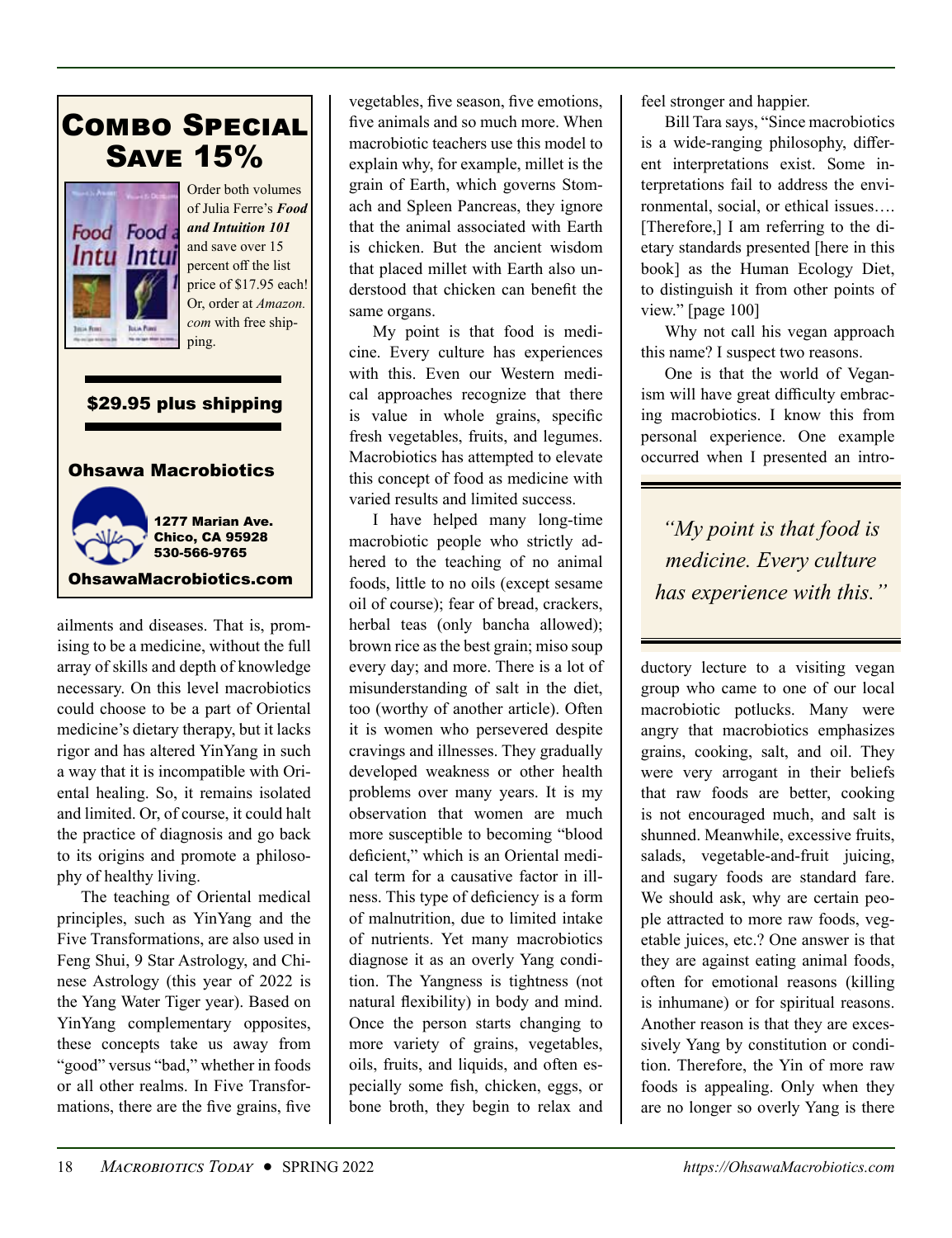# [Combo Special](https://ohsawamacrobiotics.com/introductory-books/food-and-intuition-101-combo-special-detail) Save 15%



Order both volumes of Julia Ferre's *Food and Intuition 101* and save over 15 percent off the list price of \$17.95 each! Or, order at *Amazon. com* with free shipping.

## \$29.95 plus shipping





ailments and diseases. That is, promising to be a medicine, without the full array of skills and depth of knowledge necessary. On this level macrobiotics could choose to be a part of Oriental medicine's dietary therapy, but it lacks rigor and has altered YinYang in such a way that it is incompatible with Oriental healing. So, it remains isolated and limited. Or, of course, it could halt the practice of diagnosis and go back to its origins and promote a philosophy of healthy living.

The teaching of Oriental medical principles, such as YinYang and the Five Transformations, are also used in Feng Shui, 9 Star Astrology, and Chinese Astrology (this year of 2022 is the Yang Water Tiger year). Based on YinYang complementary opposites, these concepts take us away from "good" versus "bad," whether in foods or all other realms. In Five Transformations, there are the five grains, five vegetables, five season, five emotions, five animals and so much more. When macrobiotic teachers use this model to explain why, for example, millet is the grain of Earth, which governs Stomach and Spleen Pancreas, they ignore that the animal associated with Earth is chicken. But the ancient wisdom that placed millet with Earth also understood that chicken can benefit the same organs.

My point is that food is medicine. Every culture has experiences with this. Even our Western medical approaches recognize that there is value in whole grains, specific fresh vegetables, fruits, and legumes. Macrobiotics has attempted to elevate this concept of food as medicine with varied results and limited success.

I have helped many long-time macrobiotic people who strictly adhered to the teaching of no animal foods, little to no oils (except sesame oil of course); fear of bread, crackers, herbal teas (only bancha allowed); brown rice as the best grain; miso soup every day; and more. There is a lot of misunderstanding of salt in the diet, too (worthy of another article). Often it is women who persevered despite cravings and illnesses. They gradually developed weakness or other health problems over many years. It is my observation that women are much more susceptible to becoming "blood deficient," which is an Oriental medical term for a causative factor in illness. This type of deficiency is a form of malnutrition, due to limited intake of nutrients. Yet many macrobiotics diagnose it as an overly Yang condition. The Yangness is tightness (not natural flexibility) in body and mind. Once the person starts changing to more variety of grains, vegetables, oils, fruits, and liquids, and often especially some fish, chicken, eggs, or bone broth, they begin to relax and feel stronger and happier.

Bill Tara says, "Since macrobiotics is a wide-ranging philosophy, different interpretations exist. Some interpretations fail to address the environmental, social, or ethical issues…. [Therefore,] I am referring to the dietary standards presented [here in this book] as the Human Ecology Diet, to distinguish it from other points of view." [page 100]

Why not call his vegan approach this name? I suspect two reasons.

One is that the world of Veganism will have great difficulty embracing macrobiotics. I know this from personal experience. One example occurred when I presented an intro-

*"My point is that food is medicine. Every culture has experience with this."*

ductory lecture to a visiting vegan group who came to one of our local macrobiotic potlucks. Many were angry that macrobiotics emphasizes grains, cooking, salt, and oil. They were very arrogant in their beliefs that raw foods are better, cooking is not encouraged much, and salt is shunned. Meanwhile, excessive fruits, salads, vegetable-and-fruit juicing, and sugary foods are standard fare. We should ask, why are certain people attracted to more raw foods, vegetable juices, etc.? One answer is that they are against eating animal foods, often for emotional reasons (killing is inhumane) or for spiritual reasons. Another reason is that they are excessively Yang by constitution or condition. Therefore, the Yin of more raw foods is appealing. Only when they are no longer so overly Yang is there